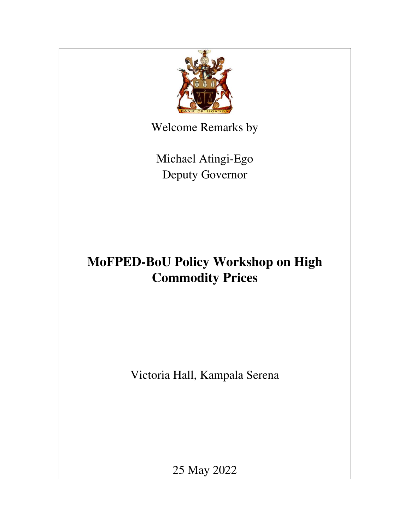

Welcome Remarks by

Michael Atingi-Ego Deputy Governor

## **MoFPED-BoU Policy Workshop on High Commodity Prices**

Victoria Hall, Kampala Serena

25 May 2022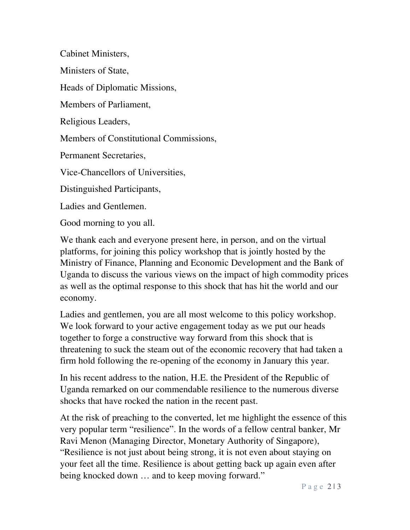Cabinet Ministers,

Ministers of State,

Heads of Diplomatic Missions,

Members of Parliament,

Religious Leaders,

Members of Constitutional Commissions,

Permanent Secretaries,

Vice-Chancellors of Universities,

Distinguished Participants,

Ladies and Gentlemen.

Good morning to you all.

We thank each and everyone present here, in person, and on the virtual platforms, for joining this policy workshop that is jointly hosted by the Ministry of Finance, Planning and Economic Development and the Bank of Uganda to discuss the various views on the impact of high commodity prices as well as the optimal response to this shock that has hit the world and our economy.

Ladies and gentlemen, you are all most welcome to this policy workshop. We look forward to your active engagement today as we put our heads together to forge a constructive way forward from this shock that is threatening to suck the steam out of the economic recovery that had taken a firm hold following the re-opening of the economy in January this year.

In his recent address to the nation, H.E. the President of the Republic of Uganda remarked on our commendable resilience to the numerous diverse shocks that have rocked the nation in the recent past.

At the risk of preaching to the converted, let me highlight the essence of this very popular term "resilience". In the words of a fellow central banker, Mr Ravi Menon (Managing Director, Monetary Authority of Singapore), "Resilience is not just about being strong, it is not even about staying on your feet all the time. Resilience is about getting back up again even after being knocked down … and to keep moving forward."